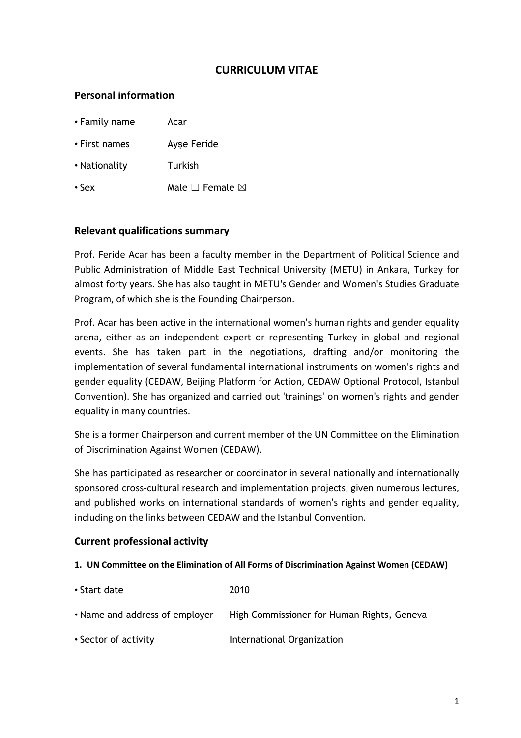# **CURRICULUM VITAE**

# **Personal information**

| • Family name | Acar                            |
|---------------|---------------------------------|
| • First names | Ayse Feride                     |
| • Nationality | Turkish                         |
| $\cdot$ Sex   | Male $\square$ Female $\square$ |

### **Relevant qualifications summary**

Prof. Feride Acar has been a faculty member in the Department of Political Science and Public Administration of Middle East Technical University (METU) in Ankara, Turkey for almost forty years. She has also taught in METU's Gender and Women's Studies Graduate Program, of which she is the Founding Chairperson.

Prof. Acar has been active in the international women's human rights and gender equality arena, either as an independent expert or representing Turkey in global and regional events. She has taken part in the negotiations, drafting and/or monitoring the implementation of several fundamental international instruments on women's rights and gender equality (CEDAW, Beijing Platform for Action, CEDAW Optional Protocol, Istanbul Convention). She has organized and carried out 'trainings' on women's rights and gender equality in many countries.

She is a former Chairperson and current member of the UN Committee on the Elimination of Discrimination Against Women (CEDAW).

She has participated as researcher or coordinator in several nationally and internationally sponsored cross-cultural research and implementation projects, given numerous lectures, and published works on international standards of women's rights and gender equality, including on the links between CEDAW and the Istanbul Convention.

### **Current professional activity**

#### **1. UN Committee on the Elimination of All Forms of Discrimination Against Women (CEDAW)**

| • Start date                   | 2010                                       |
|--------------------------------|--------------------------------------------|
| • Name and address of employer | High Commissioner for Human Rights, Geneva |
| • Sector of activity           | International Organization                 |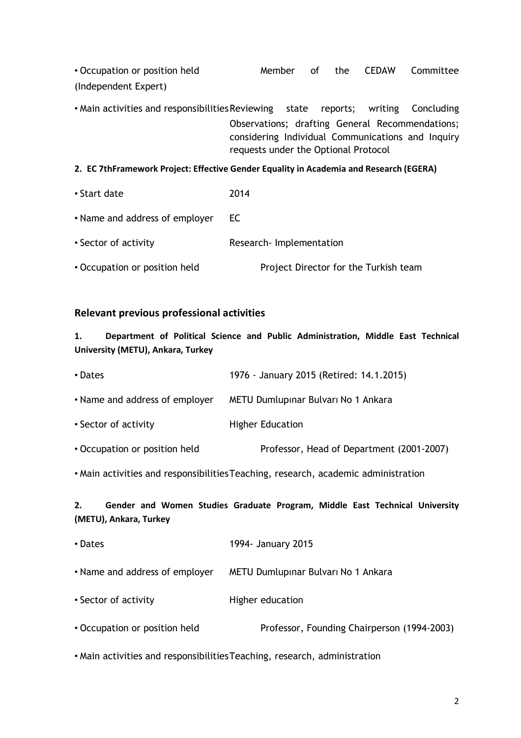• Occupation or position held Member of the CEDAW Committee (Independent Expert)

• Main activities and responsibilitiesReviewing state reports; writing Concluding Observations; drafting General Recommendations; considering Individual Communications and Inquiry requests under the Optional Protocol

#### **2. EC 7thFramework Project: Effective Gender Equality in Academia and Research (EGERA)**

| • Start date                   | 2014                                  |
|--------------------------------|---------------------------------------|
| • Name and address of employer | EC.                                   |
| • Sector of activity           | Research-Implementation               |
| • Occupation or position held  | Project Director for the Turkish team |

### **Relevant previous professional activities**

**1. Department of Political Science and Public Administration, Middle East Technical University (METU), Ankara, Turkey**

| • Dates                        | 1976 - January 2015 (Retired: 14.1.2015)  |
|--------------------------------|-------------------------------------------|
| • Name and address of employer | METU Dumlupinar Bulvari No 1 Ankara       |
| • Sector of activity           | <b>Higher Education</b>                   |
| • Occupation or position held  | Professor, Head of Department (2001-2007) |
|                                |                                           |

• Main activities and responsibilitiesTeaching, research, academic administration

# **2. Gender and Women Studies Graduate Program, Middle East Technical University (METU), Ankara, Turkey**

| • Dates                        | 1994- January 2015                          |
|--------------------------------|---------------------------------------------|
| • Name and address of employer | METU Dumlupinar Bulvari No 1 Ankara         |
| • Sector of activity           | Higher education                            |
| • Occupation or position held  | Professor, Founding Chairperson (1994-2003) |
|                                |                                             |

• Main activities and responsibilitiesTeaching, research, administration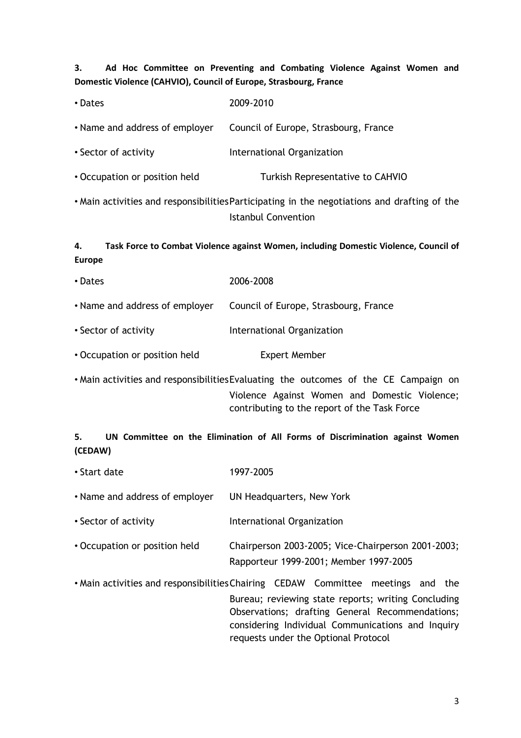# **3. Ad Hoc Committee on Preventing and Combating Violence Against Women and Domestic Violence (CAHVIO), Council of Europe, Strasbourg, France**

| • Dates                        | 2009-2010                                                                                                                                                                             |
|--------------------------------|---------------------------------------------------------------------------------------------------------------------------------------------------------------------------------------|
| • Name and address of employer | Council of Europe, Strasbourg, France                                                                                                                                                 |
| • Sector of activity           | International Organization                                                                                                                                                            |
| • Occupation or position held  | Turkish Representative to CAHVIO                                                                                                                                                      |
|                                | . Main activities and responsibilities Participating in the negotiations and drafting of the<br><b>Istanbul Convention</b>                                                            |
| 4.<br><b>Europe</b>            | Task Force to Combat Violence against Women, including Domestic Violence, Council of                                                                                                  |
| • Dates                        | 2006-2008                                                                                                                                                                             |
| • Name and address of employer | Council of Europe, Strasbourg, France                                                                                                                                                 |
| • Sector of activity           | International Organization                                                                                                                                                            |
| • Occupation or position held  | <b>Expert Member</b>                                                                                                                                                                  |
|                                | • Main activities and responsibilities Evaluating the outcomes of the CE Campaign on<br>Violence Against Women and Domestic Violence;<br>contributing to the report of the Task Force |

# **5. UN Committee on the Elimination of All Forms of Discrimination against Women (CEDAW)**

| • Start date                   | 1997-2005                                                                                                                                                                                                                                                                               |
|--------------------------------|-----------------------------------------------------------------------------------------------------------------------------------------------------------------------------------------------------------------------------------------------------------------------------------------|
| • Name and address of employer | UN Headquarters, New York                                                                                                                                                                                                                                                               |
| • Sector of activity           | International Organization                                                                                                                                                                                                                                                              |
| • Occupation or position held  | Chairperson 2003-2005; Vice-Chairperson 2001-2003;<br>Rapporteur 1999-2001; Member 1997-2005                                                                                                                                                                                            |
|                                | • Main activities and responsibilities Chairing CEDAW Committee meetings and the<br>Bureau; reviewing state reports; writing Concluding<br>Observations; drafting General Recommendations;<br>considering Individual Communications and Inquiry<br>requests under the Optional Protocol |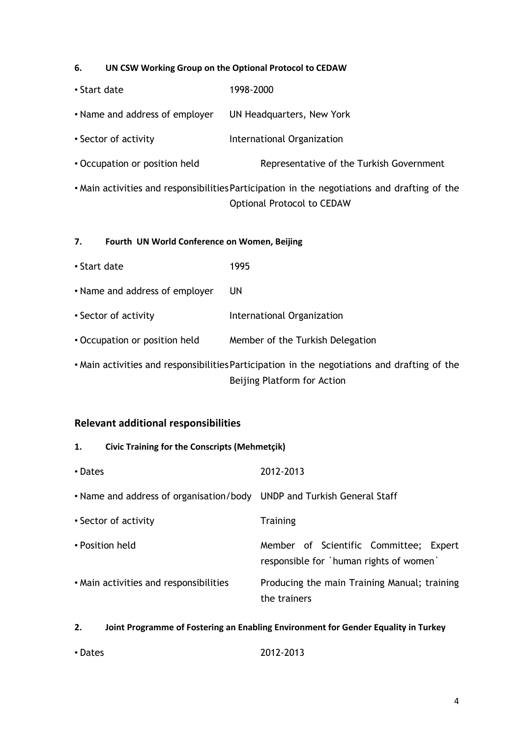#### **6. UN CSW Working Group on the Optional Protocol to CEDAW**

| • Start date                                       | 1998-2000                                                                                                                         |  |
|----------------------------------------------------|-----------------------------------------------------------------------------------------------------------------------------------|--|
| • Name and address of employer                     | UN Headquarters, New York                                                                                                         |  |
| • Sector of activity                               | International Organization                                                                                                        |  |
| • Occupation or position held                      | Representative of the Turkish Government                                                                                          |  |
|                                                    | • Main activities and responsibilities Participation in the negotiations and drafting of the<br><b>Optional Protocol to CEDAW</b> |  |
| 7.<br>Fourth UN World Conference on Women, Beijing |                                                                                                                                   |  |
| • Start date                                       | 1995                                                                                                                              |  |
| • Name and address of employer                     | UN                                                                                                                                |  |
| • Sector of activity                               | International Organization                                                                                                        |  |
| • Occupation or position held                      | Member of the Turkish Delegation                                                                                                  |  |
|                                                    |                                                                                                                                   |  |

• Main activities and responsibilitiesParticipation in the negotiations and drafting of the Beijing Platform for Action

# **Relevant additional responsibilities**

# **1. Civic Training for the Conscripts (Mehmetçik)**

| • Dates                                                                | 2012-2013                                                                         |
|------------------------------------------------------------------------|-----------------------------------------------------------------------------------|
| • Name and address of organisation/body UNDP and Turkish General Staff |                                                                                   |
| • Sector of activity                                                   | <b>Training</b>                                                                   |
| • Position held                                                        | Member of Scientific Committee; Expert<br>responsible for `human rights of women` |
| • Main activities and responsibilities                                 | Producing the main Training Manual; training<br>the trainers                      |

#### **2. Joint Programme of Fostering an Enabling Environment for Gender Equality in Turkey**

| • Dates | 2012-2013 |
|---------|-----------|
|         |           |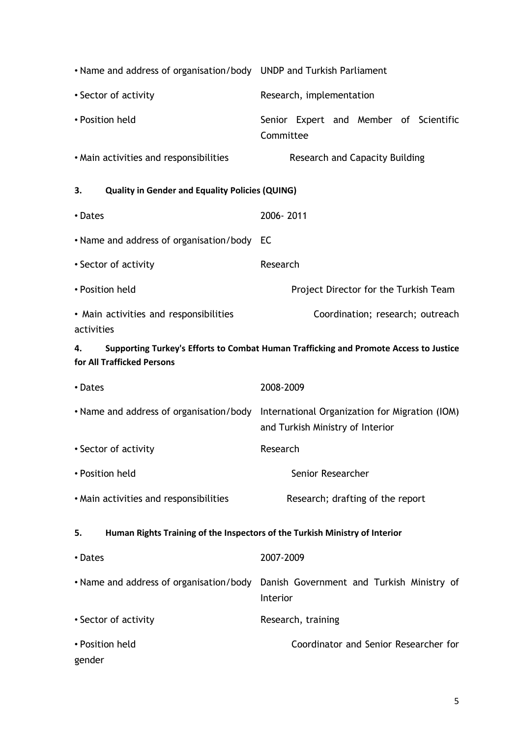| • Name and address of organisation/body UNDP and Turkish Parliament               |                                                                                               |
|-----------------------------------------------------------------------------------|-----------------------------------------------------------------------------------------------|
| • Sector of activity                                                              | Research, implementation                                                                      |
| • Position held                                                                   | Senior Expert and Member of Scientific<br>Committee                                           |
| • Main activities and responsibilities                                            | <b>Research and Capacity Building</b>                                                         |
| <b>Quality in Gender and Equality Policies (QUING)</b><br>З.                      |                                                                                               |
| • Dates                                                                           | 2006-2011                                                                                     |
| • Name and address of organisation/body EC                                        |                                                                                               |
| • Sector of activity                                                              | Research                                                                                      |
| • Position held                                                                   | Project Director for the Turkish Team                                                         |
| • Main activities and responsibilities<br>activities                              | Coordination; research; outreach                                                              |
| 4.<br>for All Trafficked Persons                                                  | Supporting Turkey's Efforts to Combat Human Trafficking and Promote Access to Justice         |
|                                                                                   |                                                                                               |
| • Dates                                                                           | 2008-2009                                                                                     |
| • Name and address of organisation/body                                           | International Organization for Migration (IOM)<br>and Turkish Ministry of Interior            |
| • Sector of activity                                                              | Research                                                                                      |
| • Position held                                                                   | Senior Researcher                                                                             |
| • Main activities and responsibilities                                            | Research; drafting of the report                                                              |
| Human Rights Training of the Inspectors of the Turkish Ministry of Interior<br>5. |                                                                                               |
| • Dates                                                                           | 2007-2009                                                                                     |
|                                                                                   | • Name and address of organisation/body Danish Government and Turkish Ministry of<br>Interior |
| • Sector of activity                                                              | Research, training                                                                            |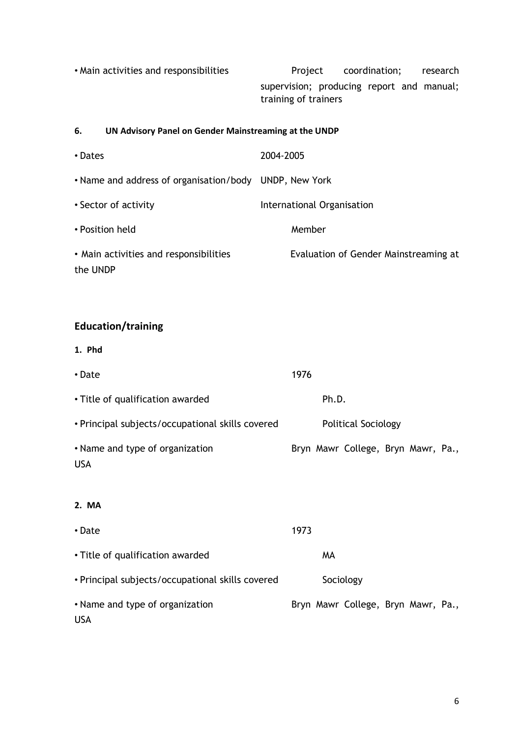• Main activities and responsibilities extending the Project coordination; research supervision; producing report and manual; training of trainers

#### **6. UN Advisory Panel on Gender Mainstreaming at the UNDP**

| • Dates                                                | 2004-2005                             |
|--------------------------------------------------------|---------------------------------------|
| • Name and address of organisation/body UNDP, New York |                                       |
| • Sector of activity                                   | International Organisation            |
| • Position held                                        | Member                                |
| • Main activities and responsibilities<br>the UNDP     | Evaluation of Gender Mainstreaming at |

# **Education/training**

**1. Phd**

| • Date                                           | 1976                               |  |  |
|--------------------------------------------------|------------------------------------|--|--|
| • Title of qualification awarded                 | Ph.D.                              |  |  |
| • Principal subjects/occupational skills covered | <b>Political Sociology</b>         |  |  |
| • Name and type of organization<br><b>USA</b>    | Bryn Mawr College, Bryn Mawr, Pa., |  |  |
| 2. MA                                            |                                    |  |  |
| • Date                                           | 1973                               |  |  |
| • Title of qualification awarded                 | MA                                 |  |  |
| • Principal subjects/occupational skills covered | Sociology                          |  |  |
| • Name and type of organization                  | Bryn Mawr College, Bryn Mawr, Pa., |  |  |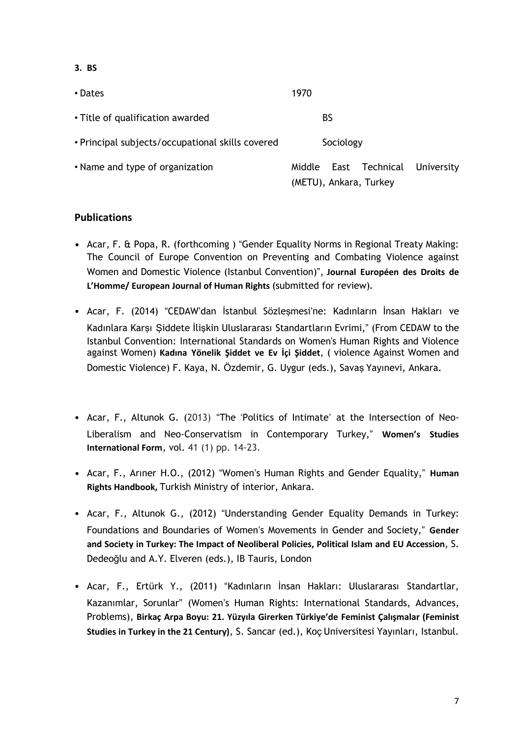**3. BS**

| • Dates                                          | 1970                                               |            |
|--------------------------------------------------|----------------------------------------------------|------------|
| • Title of qualification awarded                 | BS                                                 |            |
| • Principal subjects/occupational skills covered | Sociology                                          |            |
| • Name and type of organization                  | East Technical<br>Middle<br>(METU), Ankara, Turkey | University |

# **Publications**

- **•** Acar, F. & Popa, R. (forthcoming ) "Gender Equality Norms in Regional Treaty Making: The Council of Europe Convention on Preventing and Combating Violence against Women and Domestic Violence (Istanbul Convention)", **Journal Européen des Droits de L'Homme/ European Journal of Human Rights** (submitted for review)**.**
- Acar, F. (2014) "CEDAW'dan İstanbul Sözleşmesi'ne: Kadınların İnsan Hakları ve Kadınlara Karşı Şiddete İlişkin Uluslararası Standartların Evrimi," (From CEDAW to the Istanbul Convention: International Standards on Women's Human Rights and Violence against Women) **Kadına Yönelik Şiddet ve Ev İçi Şiddet**, ( violence Against Women and Domestic Violence) F. Kaya, N. Özdemir, G. Uygur (eds.), Savaş Yayınevi, Ankara.
- Acar, F., Altunok G. (2013) "The 'Politics of Intimate' at the Intersection of Neo-Liberalism and Neo-Conservatism in Contemporary Turkey," **Women's Studies International Form**, vol. 41 (1) pp. 14-23.
- **•** Acar, F., Arıner H.O., (2012) "Women's Human Rights and Gender Equality," **Human Rights Handbook,** Turkish Ministry of interior, Ankara.
- Acar, F., Altunok G., (2012) "Understanding Gender Equality Demands in Turkey: Foundations and Boundaries of Women's Movements in Gender and Society," **Gender and Society in Turkey: The Impact of Neoliberal Policies, Political Islam and EU Accession**, S. Dedeoğlu and A.Y. Elveren (eds.), IB Tauris, London
- Acar, F., Ertürk Y., (2011) "Kadınların İnsan Hakları: Uluslararası Standartlar, Kazanımlar, Sorunlar" (Women's Human Rights: International Standards, Advances, Problems), **Birkaç Arpa Boyu: 21. Yüzyıla Girerken Türkiye'de Feminist Çalışmalar (Feminist Studies in Turkey in the 21 Century)**, S. Sancar (ed.), Koç Universitesi Yayınları, Istanbul.